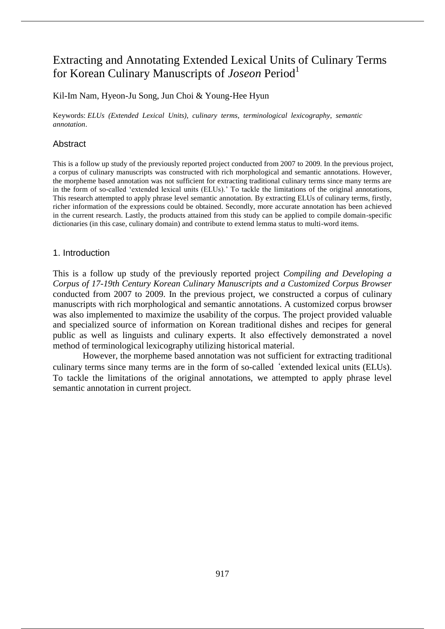# Extracting and Annotating Extended Lexical Units of Culinary Terms for Korean Culinary Manuscripts of *Joseon* Period<sup>1</sup>

Kil-Im Nam, Hyeon-Ju Song, Jun Choi & Young-Hee Hyun

Keywords: *ELUs (Extended Lexical Units)*, *culinary terms*, *terminological lexicography*, *semantic annotation*.

## Abstract

This is a follow up study of the previously reported project conducted from 2007 to 2009. In the previous project, a corpus of culinary manuscripts was constructed with rich morphological and semantic annotations. However, the morpheme based annotation was not sufficient for extracting traditional culinary terms since many terms are in the form of so-called 'extended lexical units (ELUs).' To tackle the limitations of the original annotations, This research attempted to apply phrase level semantic annotation. By extracting ELUs of culinary terms, firstly, richer information of the expressions could be obtained. Secondly, more accurate annotation has been achieved in the current research. Lastly, the products attained from this study can be applied to compile domain-specific dictionaries (in this case, culinary domain) and contribute to extend lemma status to multi-word items.

## 1. Introduction

This is a follow up study of the previously reported project *Compiling and Developing a Corpus of 17-19th Century Korean Culinary Manuscripts and a Customized Corpus Browser* conducted from 2007 to 2009. In the previous project, we constructed a corpus of culinary manuscripts with rich morphological and semantic annotations. A customized corpus browser was also implemented to maximize the usability of the corpus. The project provided valuable and specialized source of information on Korean traditional dishes and recipes for general public as well as linguists and culinary experts. It also effectively demonstrated a novel method of terminological lexicography utilizing historical material.

However, the morpheme based annotation was not sufficient for extracting traditional culinary terms since many terms are in the form of so-called 'extended lexical units (ELUs). To tackle the limitations of the original annotations, we attempted to apply phrase level semantic annotation in current project.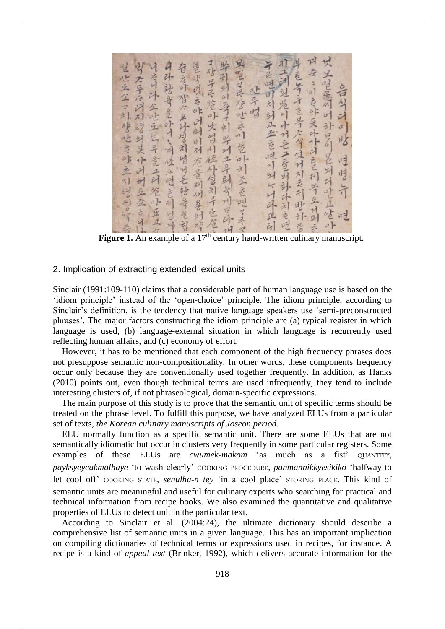|                                                                              | 社学时                                                                           |                                                                                                                                          |
|------------------------------------------------------------------------------|-------------------------------------------------------------------------------|------------------------------------------------------------------------------------------------------------------------------------------|
| 中环站安全叶川、川位出世言利时外<br>身天导兵团对对对关小团时兵在这时,<br>是吃五公司修吃方休立引的的时会<br>者之外对人之外与利怕对毛秘鲁意想 | 星型了导管世方川景印列至喜吧了手又<br>了对于民族叫大时川在外学习开立室<br>毕引到的客方到学时工具到学问学研<br>意味道在昨日时时对危景到州各时对 | 一年已吧可利到正在 百世的时代的斗丑的<br>11.六河 过 炮 川 小 H 三 二 三 引 计 计 刘 立 时<br>· 又之至意 いみょう 長川 けき立生小<br>中寿:的专作是外开的意利等五升到参<br>早在等于这等大学位付对去引些环旁<br>合勾计列比 性時午 电 |
|                                                                              |                                                                               |                                                                                                                                          |
|                                                                              |                                                                               |                                                                                                                                          |
|                                                                              |                                                                               |                                                                                                                                          |
|                                                                              |                                                                               |                                                                                                                                          |

**Figure 1.** An example of a 17<sup>th</sup> century hand-written culinary manuscript.

#### 2. Implication of extracting extended lexical units

Sinclair (1991:109-110) claims that a considerable part of human language use is based on the 'idiom principle' instead of the 'open-choice' principle. The idiom principle, according to Sinclair's definition, is the tendency that native language speakers use 'semi-preconstructed phrases'. The major factors constructing the idiom principle are (a) typical register in which language is used, (b) language-external situation in which language is recurrently used reflecting human affairs, and (c) economy of effort.

However, it has to be mentioned that each component of the high frequency phrases does not presuppose semantic non-compositionality. In other words, these components frequency occur only because they are conventionally used together frequently. In addition, as Hanks (2010) points out, even though technical terms are used infrequently, they tend to include interesting clusters of, if not phraseological, domain-specific expressions.

The main purpose of this study is to prove that the semantic unit of specific terms should be treated on the phrase level. To fulfill this purpose, we have analyzed ELUs from a particular set of texts, *the Korean culinary manuscripts of Joseon period*.

ELU normally function as a specific semantic unit. There are some ELUs that are not semantically idiomatic but occur in clusters very frequently in some particular registers. Some examples of these ELUs are *cwumek-makom* 'as much as a fist' QUANTITY, *payksyeycakmalhaye* 'to wash clearly' COOKING PROCEDURE, *panmannikkyesikiko* 'halfway to let cool off' COOKING STATE, *senulha-n tey* 'in a cool place' STORING PLACE. This kind of semantic units are meaningful and useful for culinary experts who searching for practical and technical information from recipe books. We also examined the quantitative and qualitative properties of ELUs to detect unit in the particular text.

According to Sinclair et al. (2004:24), the ultimate dictionary should describe a comprehensive list of semantic units in a given language. This has an important implication on compiling dictionaries of technical terms or expressions used in recipes, for instance. A recipe is a kind of *appeal text* (Brinker, 1992), which delivers accurate information for the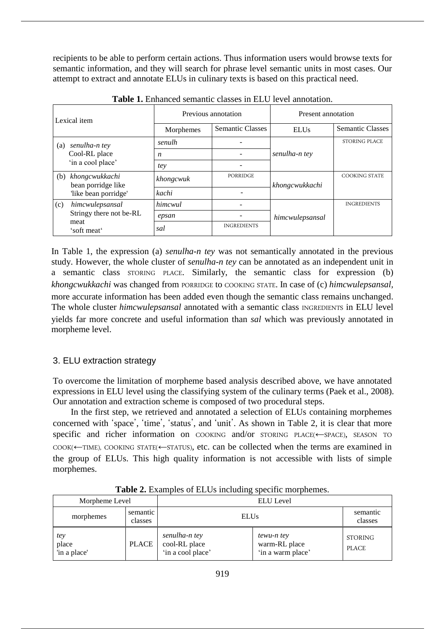recipients to be able to perform certain actions. Thus information users would browse texts for semantic information, and they will search for phrase level semantic units in most cases. Our attempt to extract and annotate ELUs in culinary texts is based on this practical need.

| Lexical item                                               | Previous annotation                  |                    | Present annotation      |                      |                         |
|------------------------------------------------------------|--------------------------------------|--------------------|-------------------------|----------------------|-------------------------|
|                                                            |                                      | Morphemes          | <b>Semantic Classes</b> | <b>ELUs</b>          | <b>Semantic Classes</b> |
| senulha-n tey<br>(a)<br>Cool-RL place<br>'in a cool place' | senulh                               |                    |                         | <b>STORING PLACE</b> |                         |
|                                                            | n                                    |                    | senulha-n tey           |                      |                         |
|                                                            | tey                                  |                    |                         |                      |                         |
| (b)                                                        | khongcwukkachi<br>bean porridge like | khongcwuk          | PORRIDGE                | khongcwukkachi       | <b>COOKING STATE</b>    |
| 'like bean porridge'                                       | kachi                                |                    |                         |                      |                         |
| (c)                                                        | himcwulepsansal                      | himcwul            |                         |                      | <b>INGREDIENTS</b>      |
| Stringy there not be-RL<br>meat<br>'soft meat'             | epsan                                |                    | himcwulepsansal         |                      |                         |
|                                                            | sal                                  | <b>INGREDIENTS</b> |                         |                      |                         |

**Table 1.** Enhanced semantic classes in ELU level annotation.

In Table 1, the expression (a) *senulha-n tey* was not semantically annotated in the previous study. However, the whole cluster of *senulha-n tey* can be annotated as an independent unit in a semantic class STORING PLACE. Similarly, the semantic class for expression (b) *khongcwukkachi* was changed from PORRIDGE to COOKING STATE. In case of (c) *himcwulepsansal,* more accurate information has been added even though the semantic class remains unchanged. The whole cluster *himcwulepsansal* annotated with a semantic class INGREDIENTS in ELU level yields far more concrete and useful information than *sal* which was previously annotated in morpheme level.

## 3. ELU extraction strategy

To overcome the limitation of morpheme based analysis described above, we have annotated expressions in ELU level using the classifying system of the culinary terms (Paek et al., 2008). Our annotation and extraction scheme is composed of two procedural steps.

In the first step, we retrieved and annotated a selection of ELUs containing morphemes concerned with 'space', 'time', 'status', and 'unit'. As shown in Table 2, it is clear that more specific and richer information on COOKING and/or STORING PLACE(←SPACE), SEASON TO COOK(←TIME), COOKING STATE(←STATUS), etc. can be collected when the terms are examined in the group of ELUs. This high quality information is not accessible with lists of simple morphemes.

| Morpheme Level               |                     | <b>ELU</b> Level                                    |                                                  |                         |
|------------------------------|---------------------|-----------------------------------------------------|--------------------------------------------------|-------------------------|
| morphemes                    | semantic<br>classes | <b>ELUs</b>                                         |                                                  | semantic<br>classes     |
| tey<br>place<br>'in a place' | <b>PLACE</b>        | senulha-n tey<br>cool-RL place<br>'in a cool place' | tewu-n tey<br>warm-RL place<br>'in a warm place' | STORING<br><b>PLACE</b> |

**Table 2.** Examples of ELUs including specific morphemes.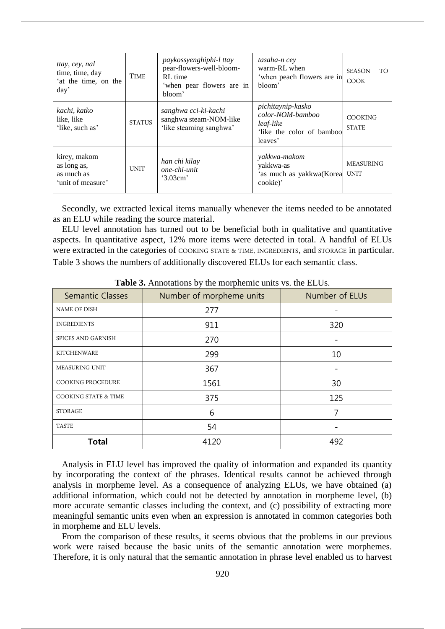| ttay, cey, nal<br>time, time, day<br>'at the time, on the<br>day' | <b>TIME</b>   | paykossyenghiphi-l ttay<br>pear-flowers-well-bloom-<br>RL time<br>'when pear flowers are in<br>bloom' | tasaha-n cey<br>warm-RL when<br>'when peach flowers are in<br>bloom'                       | <b>SEASON</b><br>TO.<br><b>COOK</b> |
|-------------------------------------------------------------------|---------------|-------------------------------------------------------------------------------------------------------|--------------------------------------------------------------------------------------------|-------------------------------------|
| kachi, katko<br>like, like<br>'like, such as'                     | <b>STATUS</b> | sanghwa cci-ki-kachi<br>sanghwa steam-NOM-like<br>'like steaming sanghwa'                             | pichitaynip-kasko<br>color-NOM-bamboo<br>leaf-like<br>'like the color of bamboo<br>leaves' | <b>COOKING</b><br><b>STATE</b>      |
| kirey, makom<br>as long as,<br>as much as<br>'unit of measure'    | <b>UNIT</b>   | han chi kilay<br>one-chi-unit<br>3.03cm                                                               | yakkwa-makom<br>yakkwa-as<br>'as much as yakkwa(Korea<br>cookie)'                          | <b>MEASURING</b><br>UNIT            |

Secondly, we extracted lexical items manually whenever the items needed to be annotated as an ELU while reading the source material.

ELU level annotation has turned out to be beneficial both in qualitative and quantitative aspects. In quantitative aspect, 12% more items were detected in total. A handful of ELUs were extracted in the categories of COOKING STATE & TIME, INGREDIENTS, and STORAGE in particular. Table 3 shows the numbers of additionally discovered ELUs for each semantic class.

| <b>Semantic Classes</b>         | Number of morpheme units | Number of ELUs |
|---------------------------------|--------------------------|----------------|
| NAME OF DISH                    | 277                      |                |
| <b>INGREDIENTS</b>              | 911                      | 320            |
| SPICES AND GARNISH              | 270                      |                |
| <b>KITCHENWARE</b>              | 299                      | 10             |
| MEASURING UNIT                  | 367                      |                |
| COOKING PROCEDURE               | 1561                     | 30             |
| <b>COOKING STATE &amp; TIME</b> | 375                      | 125            |
| <b>STORAGE</b>                  | 6                        |                |
| <b>TASTE</b>                    | 54                       |                |
| <b>Total</b>                    | 4120                     | 492            |

**Table 3.** Annotations by the morphemic units vs. the ELUs.

Analysis in ELU level has improved the quality of information and expanded its quantity by incorporating the context of the phrases. Identical results cannot be achieved through analysis in morpheme level. As a consequence of analyzing ELUs, we have obtained (a) additional information, which could not be detected by annotation in morpheme level, (b) more accurate semantic classes including the context, and (c) possibility of extracting more meaningful semantic units even when an expression is annotated in common categories both in morpheme and ELU levels.

From the comparison of these results, it seems obvious that the problems in our previous work were raised because the basic units of the semantic annotation were morphemes. Therefore, it is only natural that the semantic annotation in phrase level enabled us to harvest